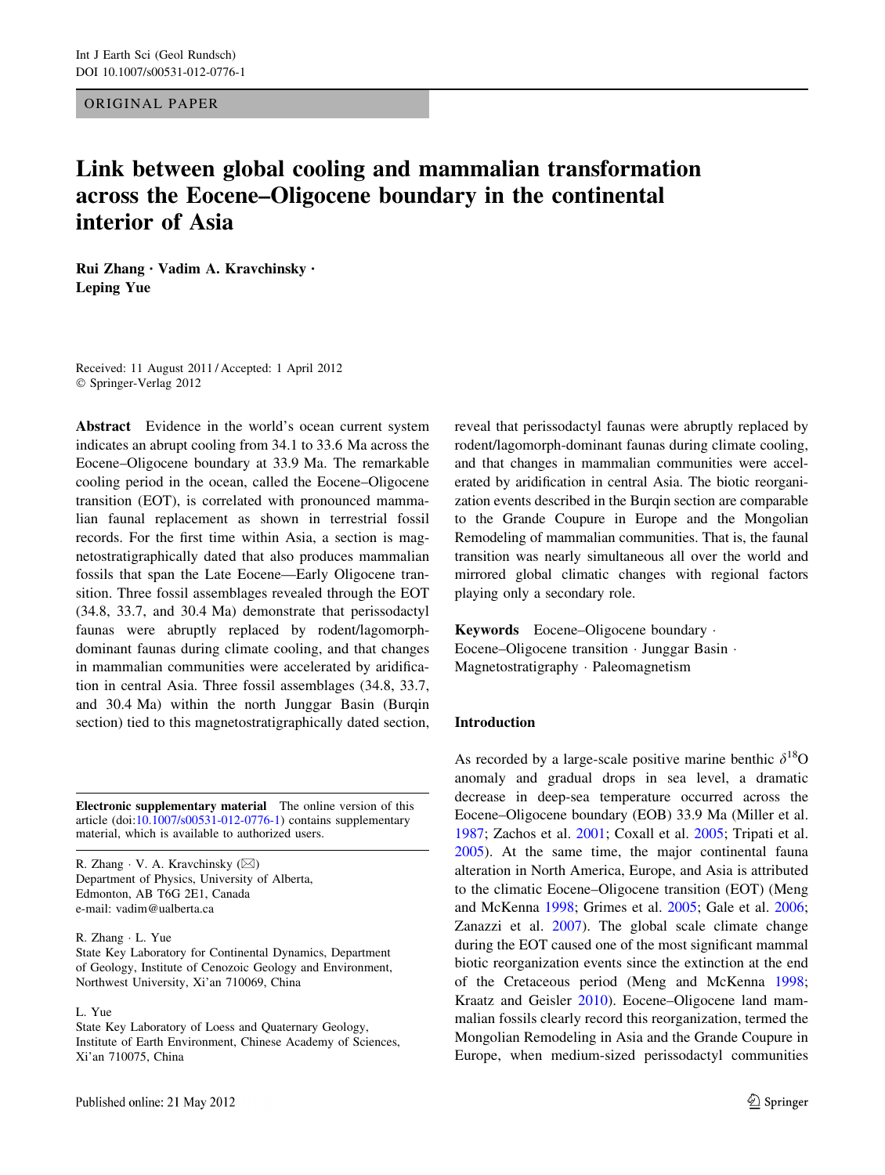ORIGINAL PAPER

# Link between global cooling and mammalian transformation across the Eocene–Oligocene boundary in the continental interior of Asia

Rui Zhang • Vadim A. Kravchinsky • Leping Yue

Received: 11 August 2011 / Accepted: 1 April 2012 © Springer-Verlag 2012

Abstract Evidence in the world's ocean current system indicates an abrupt cooling from 34.1 to 33.6 Ma across the Eocene–Oligocene boundary at 33.9 Ma. The remarkable cooling period in the ocean, called the Eocene–Oligocene transition (EOT), is correlated with pronounced mammalian faunal replacement as shown in terrestrial fossil records. For the first time within Asia, a section is magnetostratigraphically dated that also produces mammalian fossils that span the Late Eocene—Early Oligocene transition. Three fossil assemblages revealed through the EOT (34.8, 33.7, and 30.4 Ma) demonstrate that perissodactyl faunas were abruptly replaced by rodent/lagomorphdominant faunas during climate cooling, and that changes in mammalian communities were accelerated by aridification in central Asia. Three fossil assemblages (34.8, 33.7, and 30.4 Ma) within the north Junggar Basin (Burqin section) tied to this magnetostratigraphically dated section,

Electronic supplementary material The online version of this article (doi:[10.1007/s00531-012-0776-1\)](http://dx.doi.org/10.1007/s00531-012-0776-1) contains supplementary material, which is available to authorized users.

R. Zhang  $\cdot$  V. A. Kravchinsky ( $\boxtimes$ ) Department of Physics, University of Alberta, Edmonton, AB T6G 2E1, Canada e-mail: vadim@ualberta.ca

#### R. Zhang - L. Yue

State Key Laboratory for Continental Dynamics, Department of Geology, Institute of Cenozoic Geology and Environment, Northwest University, Xi'an 710069, China

### L. Yue

State Key Laboratory of Loess and Quaternary Geology, Institute of Earth Environment, Chinese Academy of Sciences, Xi'an 710075, China

reveal that perissodactyl faunas were abruptly replaced by rodent/lagomorph-dominant faunas during climate cooling, and that changes in mammalian communities were accelerated by aridification in central Asia. The biotic reorganization events described in the Burqin section are comparable to the Grande Coupure in Europe and the Mongolian Remodeling of mammalian communities. That is, the faunal transition was nearly simultaneous all over the world and mirrored global climatic changes with regional factors playing only a secondary role.

Keywords Eocene–Oligocene boundary - Eocene–Oligocene transition - Junggar Basin - Magnetostratigraphy - Paleomagnetism

#### Introduction

As recorded by a large-scale positive marine benthic  $\delta^{18}$ O anomaly and gradual drops in sea level, a dramatic decrease in deep-sea temperature occurred across the Eocene–Oligocene boundary (EOB) 33.9 Ma (Miller et al. [1987](#page-7-0); Zachos et al. [2001;](#page-7-0) Coxall et al. [2005](#page-7-0); Tripati et al. [2005](#page-7-0)). At the same time, the major continental fauna alteration in North America, Europe, and Asia is attributed to the climatic Eocene–Oligocene transition (EOT) (Meng and McKenna [1998;](#page-7-0) Grimes et al. [2005](#page-7-0); Gale et al. [2006](#page-7-0); Zanazzi et al. [2007\)](#page-7-0). The global scale climate change during the EOT caused one of the most significant mammal biotic reorganization events since the extinction at the end of the Cretaceous period (Meng and McKenna [1998](#page-7-0); Kraatz and Geisler [2010](#page-7-0)). Eocene–Oligocene land mammalian fossils clearly record this reorganization, termed the Mongolian Remodeling in Asia and the Grande Coupure in Europe, when medium-sized perissodactyl communities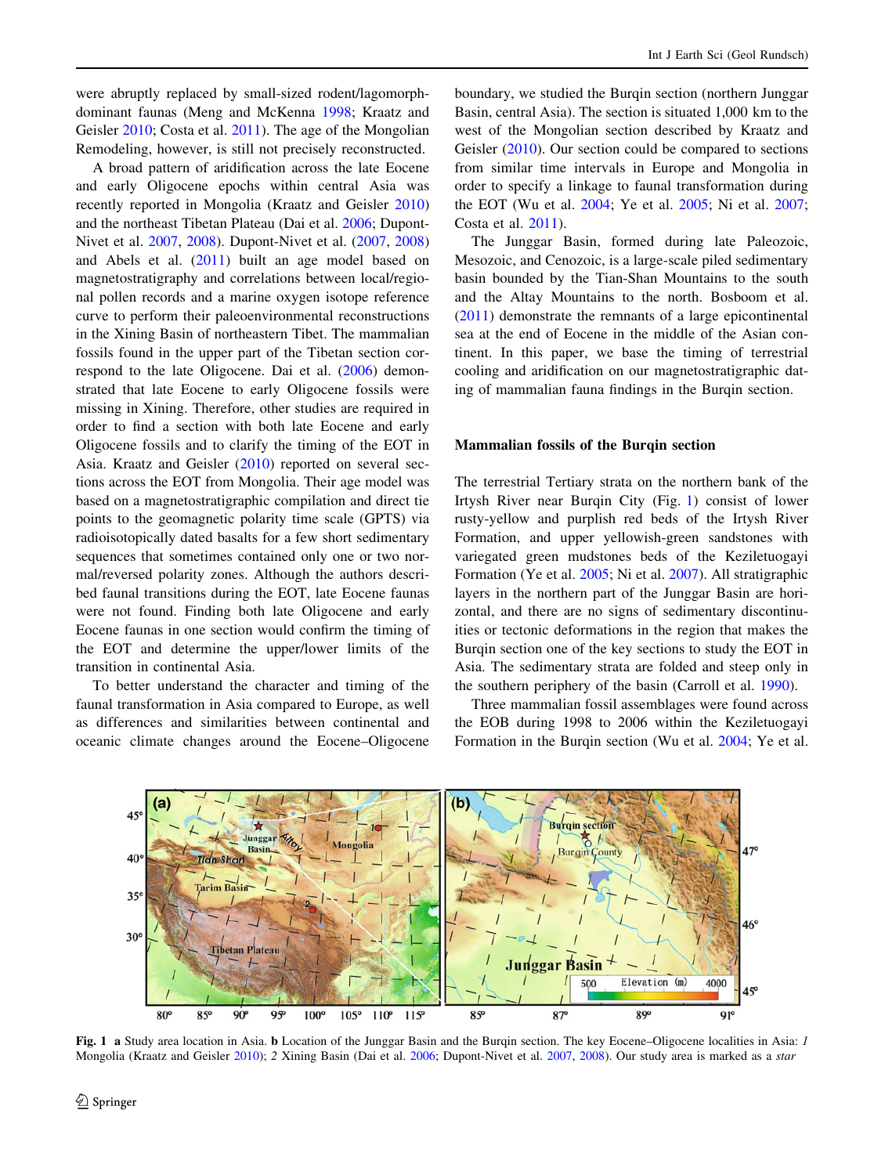were abruptly replaced by small-sized rodent/lagomorphdominant faunas (Meng and McKenna [1998;](#page-7-0) Kraatz and Geisler [2010;](#page-7-0) Costa et al. [2011\)](#page-7-0). The age of the Mongolian Remodeling, however, is still not precisely reconstructed.

A broad pattern of aridification across the late Eocene and early Oligocene epochs within central Asia was recently reported in Mongolia (Kraatz and Geisler [2010\)](#page-7-0) and the northeast Tibetan Plateau (Dai et al. [2006](#page-7-0); Dupont-Nivet et al. [2007,](#page-7-0) [2008\)](#page-7-0). Dupont-Nivet et al. [\(2007](#page-7-0), [2008\)](#page-7-0) and Abels et al. ([2011\)](#page-7-0) built an age model based on magnetostratigraphy and correlations between local/regional pollen records and a marine oxygen isotope reference curve to perform their paleoenvironmental reconstructions in the Xining Basin of northeastern Tibet. The mammalian fossils found in the upper part of the Tibetan section correspond to the late Oligocene. Dai et al. ([2006\)](#page-7-0) demonstrated that late Eocene to early Oligocene fossils were missing in Xining. Therefore, other studies are required in order to find a section with both late Eocene and early Oligocene fossils and to clarify the timing of the EOT in Asia. Kraatz and Geisler ([2010\)](#page-7-0) reported on several sections across the EOT from Mongolia. Their age model was based on a magnetostratigraphic compilation and direct tie points to the geomagnetic polarity time scale (GPTS) via radioisotopically dated basalts for a few short sedimentary sequences that sometimes contained only one or two normal/reversed polarity zones. Although the authors described faunal transitions during the EOT, late Eocene faunas were not found. Finding both late Oligocene and early Eocene faunas in one section would confirm the timing of the EOT and determine the upper/lower limits of the transition in continental Asia.

To better understand the character and timing of the faunal transformation in Asia compared to Europe, as well as differences and similarities between continental and oceanic climate changes around the Eocene–Oligocene boundary, we studied the Burgin section (northern Junggar) Basin, central Asia). The section is situated 1,000 km to the west of the Mongolian section described by Kraatz and Geisler ([2010](#page-7-0)). Our section could be compared to sections from similar time intervals in Europe and Mongolia in order to specify a linkage to faunal transformation during the EOT (Wu et al. [2004;](#page-7-0) Ye et al. [2005](#page-7-0); Ni et al. [2007](#page-7-0); Costa et al. [2011\)](#page-7-0).

The Junggar Basin, formed during late Paleozoic, Mesozoic, and Cenozoic, is a large-scale piled sedimentary basin bounded by the Tian-Shan Mountains to the south and the Altay Mountains to the north. Bosboom et al. [\(2011](#page-7-0)) demonstrate the remnants of a large epicontinental sea at the end of Eocene in the middle of the Asian continent. In this paper, we base the timing of terrestrial cooling and aridification on our magnetostratigraphic dating of mammalian fauna findings in the Burqin section.

### Mammalian fossils of the Burqin section

The terrestrial Tertiary strata on the northern bank of the Irtysh River near Burqin City (Fig. 1) consist of lower rusty-yellow and purplish red beds of the Irtysh River Formation, and upper yellowish-green sandstones with variegated green mudstones beds of the Keziletuogayi Formation (Ye et al. [2005](#page-7-0); Ni et al. [2007](#page-7-0)). All stratigraphic layers in the northern part of the Junggar Basin are horizontal, and there are no signs of sedimentary discontinuities or tectonic deformations in the region that makes the Burqin section one of the key sections to study the EOT in Asia. The sedimentary strata are folded and steep only in the southern periphery of the basin (Carroll et al. [1990](#page-7-0)).

Three mammalian fossil assemblages were found across the EOB during 1998 to 2006 within the Keziletuogayi Formation in the Burqin section (Wu et al. [2004](#page-7-0); Ye et al.



Fig. 1 a Study area location in Asia. b Location of the Junggar Basin and the Burqin section. The key Eocene–Oligocene localities in Asia: 1 Mongolia (Kraatz and Geisler [2010\)](#page-7-0); 2 Xining Basin (Dai et al. [2006](#page-7-0); Dupont-Nivet et al. [2007](#page-7-0), [2008](#page-7-0)). Our study area is marked as a star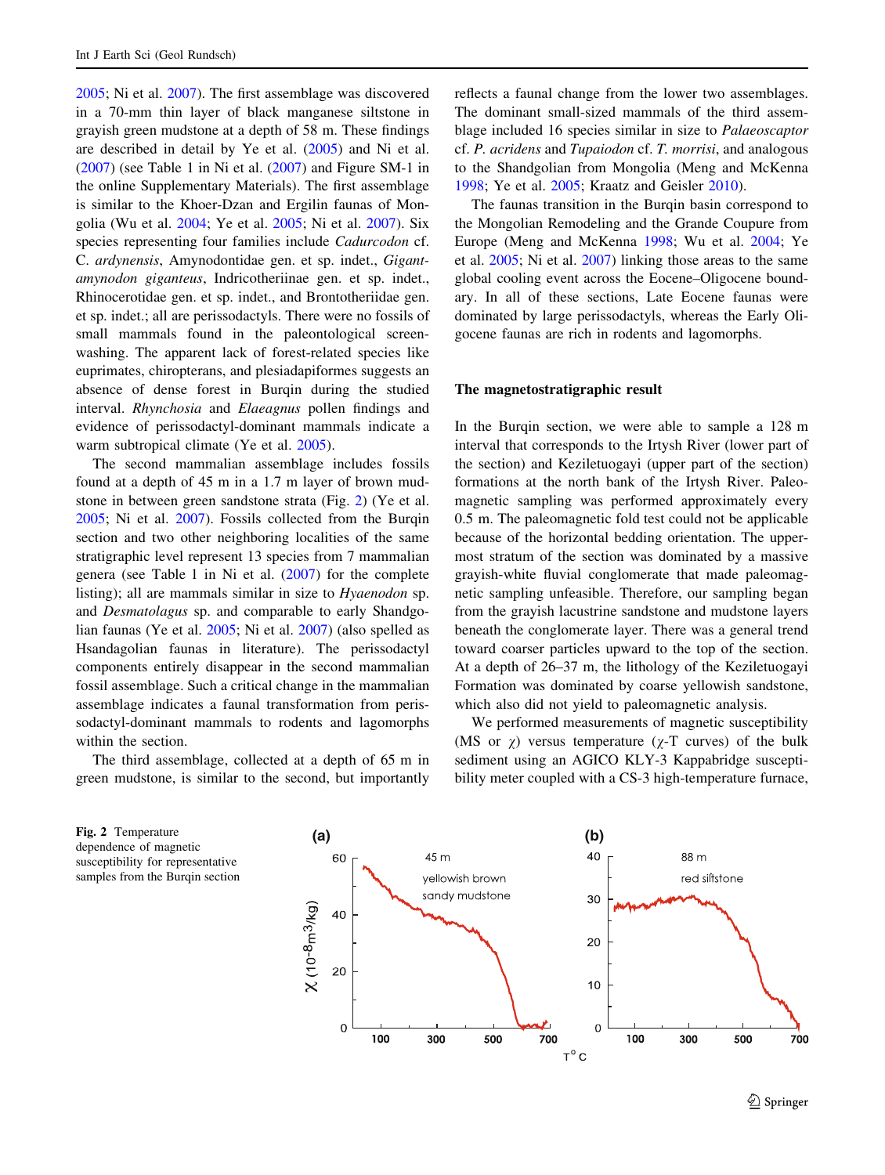<span id="page-2-0"></span>[2005;](#page-7-0) Ni et al. [2007\)](#page-7-0). The first assemblage was discovered in a 70-mm thin layer of black manganese siltstone in grayish green mudstone at a depth of 58 m. These findings are described in detail by Ye et al. [\(2005](#page-7-0)) and Ni et al.  $(2007)$  $(2007)$  (see Table 1 in Ni et al.  $(2007)$ ) and Figure SM-1 in the online Supplementary Materials). The first assemblage is similar to the Khoer-Dzan and Ergilin faunas of Mongolia (Wu et al. [2004](#page-7-0); Ye et al. [2005;](#page-7-0) Ni et al. [2007\)](#page-7-0). Six species representing four families include Cadurcodon cf. C. ardynensis, Amynodontidae gen. et sp. indet., Gigantamynodon giganteus, Indricotheriinae gen. et sp. indet., Rhinocerotidae gen. et sp. indet., and Brontotheriidae gen. et sp. indet.; all are perissodactyls. There were no fossils of small mammals found in the paleontological screenwashing. The apparent lack of forest-related species like euprimates, chiropterans, and plesiadapiformes suggests an absence of dense forest in Burqin during the studied interval. Rhynchosia and Elaeagnus pollen findings and evidence of perissodactyl-dominant mammals indicate a warm subtropical climate (Ye et al. [2005\)](#page-7-0).

The second mammalian assemblage includes fossils found at a depth of 45 m in a 1.7 m layer of brown mudstone in between green sandstone strata (Fig. 2) (Ye et al. [2005;](#page-7-0) Ni et al. [2007](#page-7-0)). Fossils collected from the Burqin section and two other neighboring localities of the same stratigraphic level represent 13 species from 7 mammalian genera (see Table 1 in Ni et al. ([2007](#page-7-0)) for the complete listing); all are mammals similar in size to Hyaenodon sp. and Desmatolagus sp. and comparable to early Shandgolian faunas (Ye et al. [2005](#page-7-0); Ni et al. [2007\)](#page-7-0) (also spelled as Hsandagolian faunas in literature). The perissodactyl components entirely disappear in the second mammalian fossil assemblage. Such a critical change in the mammalian assemblage indicates a faunal transformation from perissodactyl-dominant mammals to rodents and lagomorphs within the section.

The third assemblage, collected at a depth of 65 m in green mudstone, is similar to the second, but importantly reflects a faunal change from the lower two assemblages. The dominant small-sized mammals of the third assemblage included 16 species similar in size to Palaeoscaptor cf. P. acridens and Tupaiodon cf. T. morrisi, and analogous to the Shandgolian from Mongolia (Meng and McKenna [1998](#page-7-0); Ye et al. [2005;](#page-7-0) Kraatz and Geisler [2010\)](#page-7-0).

The faunas transition in the Burqin basin correspond to the Mongolian Remodeling and the Grande Coupure from Europe (Meng and McKenna [1998](#page-7-0); Wu et al. [2004](#page-7-0); Ye et al. [2005](#page-7-0); Ni et al. [2007\)](#page-7-0) linking those areas to the same global cooling event across the Eocene–Oligocene boundary. In all of these sections, Late Eocene faunas were dominated by large perissodactyls, whereas the Early Oligocene faunas are rich in rodents and lagomorphs.

# The magnetostratigraphic result

In the Burgin section, we were able to sample a 128 m interval that corresponds to the Irtysh River (lower part of the section) and Keziletuogayi (upper part of the section) formations at the north bank of the Irtysh River. Paleomagnetic sampling was performed approximately every 0.5 m. The paleomagnetic fold test could not be applicable because of the horizontal bedding orientation. The uppermost stratum of the section was dominated by a massive grayish-white fluvial conglomerate that made paleomagnetic sampling unfeasible. Therefore, our sampling began from the grayish lacustrine sandstone and mudstone layers beneath the conglomerate layer. There was a general trend toward coarser particles upward to the top of the section. At a depth of 26–37 m, the lithology of the Keziletuogayi Formation was dominated by coarse yellowish sandstone, which also did not yield to paleomagnetic analysis.

We performed measurements of magnetic susceptibility (MS or  $\chi$ ) versus temperature ( $\chi$ -T curves) of the bulk sediment using an AGICO KLY-3 Kappabridge susceptibility meter coupled with a CS-3 high-temperature furnace,

dependence of magnetic susceptibility for representative samples from the Burqin section

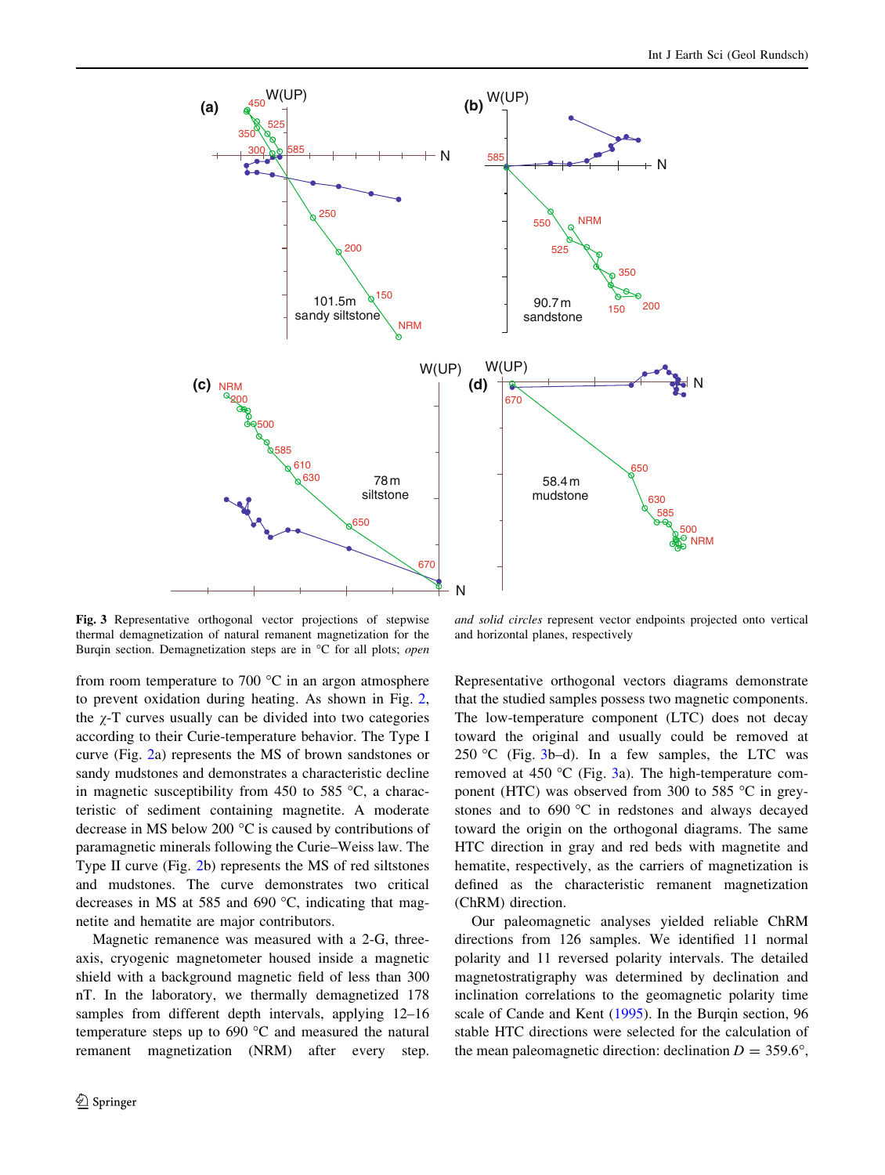![](_page_3_Figure_1.jpeg)

Fig. 3 Representative orthogonal vector projections of stepwise thermal demagnetization of natural remanent magnetization for the Burqin section. Demagnetization steps are in °C for all plots; open

from room temperature to 700  $^{\circ}$ C in an argon atmosphere to prevent oxidation during heating. As shown in Fig. [2,](#page-2-0) the  $\chi$ -T curves usually can be divided into two categories according to their Curie-temperature behavior. The Type I curve (Fig. [2](#page-2-0)a) represents the MS of brown sandstones or sandy mudstones and demonstrates a characteristic decline in magnetic susceptibility from 450 to 585  $\degree$ C, a characteristic of sediment containing magnetite. A moderate decrease in MS below 200 $\degree$ C is caused by contributions of paramagnetic minerals following the Curie–Weiss law. The Type II curve (Fig. [2](#page-2-0)b) represents the MS of red siltstones and mudstones. The curve demonstrates two critical decreases in MS at 585 and 690  $\degree$ C, indicating that magnetite and hematite are major contributors.

Magnetic remanence was measured with a 2-G, threeaxis, cryogenic magnetometer housed inside a magnetic shield with a background magnetic field of less than 300 nT. In the laboratory, we thermally demagnetized 178 samples from different depth intervals, applying 12–16 temperature steps up to  $690\text{ °C}$  and measured the natural remanent magnetization (NRM) after every step.

and solid circles represent vector endpoints projected onto vertical and horizontal planes, respectively

Representative orthogonal vectors diagrams demonstrate that the studied samples possess two magnetic components. The low-temperature component (LTC) does not decay toward the original and usually could be removed at 250 °C (Fig.  $3b-d$ ). In a few samples, the LTC was removed at 450  $\degree$ C (Fig. 3a). The high-temperature component (HTC) was observed from 300 to 585  $\degree$ C in greystones and to  $690 °C$  in redstones and always decayed toward the origin on the orthogonal diagrams. The same HTC direction in gray and red beds with magnetite and hematite, respectively, as the carriers of magnetization is defined as the characteristic remanent magnetization (ChRM) direction.

Our paleomagnetic analyses yielded reliable ChRM directions from 126 samples. We identified 11 normal polarity and 11 reversed polarity intervals. The detailed magnetostratigraphy was determined by declination and inclination correlations to the geomagnetic polarity time scale of Cande and Kent [\(1995](#page-7-0)). In the Burqin section, 96 stable HTC directions were selected for the calculation of the mean paleomagnetic direction: declination  $D = 359.6^{\circ}$ ,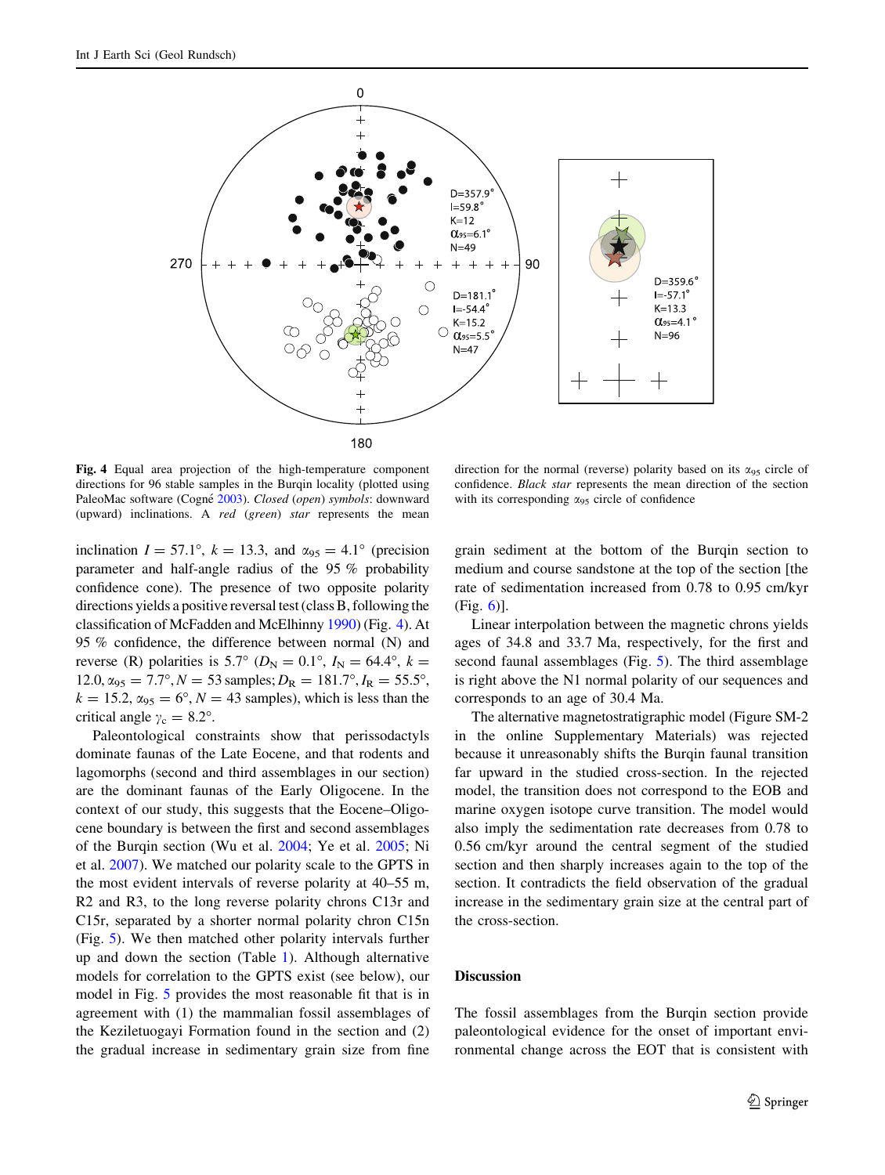![](_page_4_Figure_1.jpeg)

Fig. 4 Equal area projection of the high-temperature component directions for 96 stable samples in the Burqin locality (plotted using PaleoMac software (Cogné [2003](#page-7-0)). Closed (open) symbols: downward (upward) inclinations. A red (green) star represents the mean

inclination  $I = 57.1^{\circ}$ ,  $k = 13.3$ , and  $\alpha_{95} = 4.1^{\circ}$  (precision parameter and half-angle radius of the 95 % probability confidence cone). The presence of two opposite polarity directions yields a positive reversal test (class B, following the classification of McFadden and McElhinny [1990\)](#page-7-0) (Fig. 4). At 95 % confidence, the difference between normal (N) and reverse (R) polarities is 5.7° ( $D<sub>N</sub> = 0.1$ °,  $I<sub>N</sub> = 64.4$ °,  $k =$  $12.0, \alpha_{95} = 7.7^{\circ}, N = 53$  samples;  $D_R = 181.7^{\circ}, I_R = 55.5^{\circ}$ ,  $k = 15.2$ ,  $\alpha_{95} = 6^{\circ}$ ,  $N = 43$  samples), which is less than the critical angle  $\gamma_c = 8.2^\circ$ .

Paleontological constraints show that perissodactyls dominate faunas of the Late Eocene, and that rodents and lagomorphs (second and third assemblages in our section) are the dominant faunas of the Early Oligocene. In the context of our study, this suggests that the Eocene–Oligocene boundary is between the first and second assemblages of the Burqin section (Wu et al. [2004](#page-7-0); Ye et al. [2005;](#page-7-0) Ni et al. [2007\)](#page-7-0). We matched our polarity scale to the GPTS in the most evident intervals of reverse polarity at 40–55 m, R2 and R3, to the long reverse polarity chrons C13r and C15r, separated by a shorter normal polarity chron C15n (Fig. [5](#page-5-0)). We then matched other polarity intervals further up and down the section (Table [1](#page-6-0)). Although alternative models for correlation to the GPTS exist (see below), our model in Fig. [5](#page-5-0) provides the most reasonable fit that is in agreement with (1) the mammalian fossil assemblages of the Keziletuogayi Formation found in the section and (2) the gradual increase in sedimentary grain size from fine

direction for the normal (reverse) polarity based on its  $\alpha_{95}$  circle of confidence. Black star represents the mean direction of the section with its corresponding  $\alpha_{95}$  circle of confidence

grain sediment at the bottom of the Burqin section to medium and course sandstone at the top of the section [the rate of sedimentation increased from 0.78 to 0.95 cm/kyr (Fig. [6\)](#page-6-0)].

Linear interpolation between the magnetic chrons yields ages of 34.8 and 33.7 Ma, respectively, for the first and second faunal assemblages (Fig. [5](#page-5-0)). The third assemblage is right above the N1 normal polarity of our sequences and corresponds to an age of 30.4 Ma.

The alternative magnetostratigraphic model (Figure SM-2 in the online Supplementary Materials) was rejected because it unreasonably shifts the Burqin faunal transition far upward in the studied cross-section. In the rejected model, the transition does not correspond to the EOB and marine oxygen isotope curve transition. The model would also imply the sedimentation rate decreases from 0.78 to 0.56 cm/kyr around the central segment of the studied section and then sharply increases again to the top of the section. It contradicts the field observation of the gradual increase in the sedimentary grain size at the central part of the cross-section.

### Discussion

The fossil assemblages from the Burqin section provide paleontological evidence for the onset of important environmental change across the EOT that is consistent with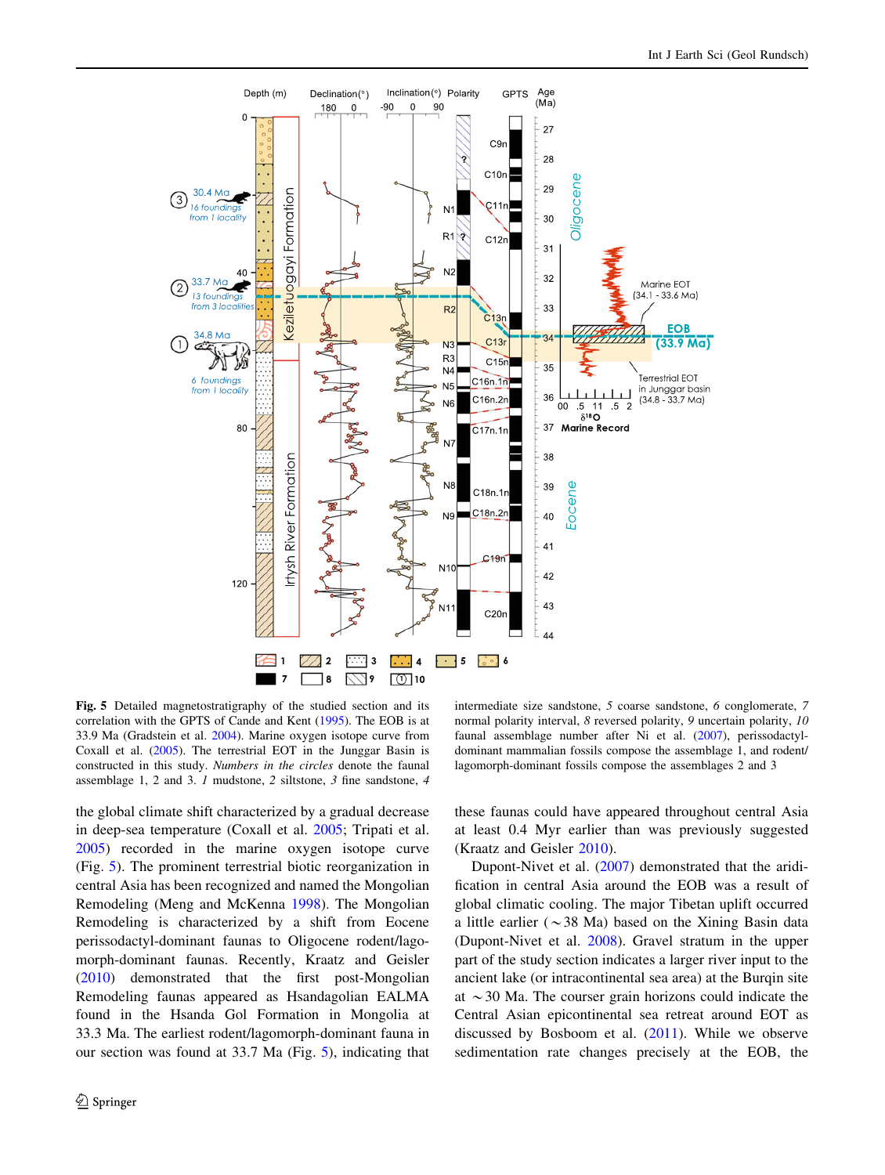<span id="page-5-0"></span>![](_page_5_Figure_1.jpeg)

Fig. 5 Detailed magnetostratigraphy of the studied section and its correlation with the GPTS of Cande and Kent ([1995\)](#page-7-0). The EOB is at 33.9 Ma (Gradstein et al. [2004](#page-7-0)). Marine oxygen isotope curve from Coxall et al. [\(2005](#page-7-0)). The terrestrial EOT in the Junggar Basin is constructed in this study. Numbers in the circles denote the faunal assemblage 1, 2 and 3. 1 mudstone, 2 siltstone, 3 fine sandstone, 4

the global climate shift characterized by a gradual decrease in deep-sea temperature (Coxall et al. [2005;](#page-7-0) Tripati et al. [2005\)](#page-7-0) recorded in the marine oxygen isotope curve (Fig. 5). The prominent terrestrial biotic reorganization in central Asia has been recognized and named the Mongolian Remodeling (Meng and McKenna [1998](#page-7-0)). The Mongolian Remodeling is characterized by a shift from Eocene perissodactyl-dominant faunas to Oligocene rodent/lagomorph-dominant faunas. Recently, Kraatz and Geisler [\(2010](#page-7-0)) demonstrated that the first post-Mongolian Remodeling faunas appeared as Hsandagolian EALMA found in the Hsanda Gol Formation in Mongolia at 33.3 Ma. The earliest rodent/lagomorph-dominant fauna in our section was found at 33.7 Ma (Fig. 5), indicating that

intermediate size sandstone, 5 coarse sandstone, 6 conglomerate, 7 normal polarity interval, 8 reversed polarity, 9 uncertain polarity, 10 faunal assemblage number after Ni et al. ([2007\)](#page-7-0), perissodactyldominant mammalian fossils compose the assemblage 1, and rodent/ lagomorph-dominant fossils compose the assemblages 2 and 3

these faunas could have appeared throughout central Asia at least 0.4 Myr earlier than was previously suggested (Kraatz and Geisler [2010](#page-7-0)).

Dupont-Nivet et al. ([2007\)](#page-7-0) demonstrated that the aridification in central Asia around the EOB was a result of global climatic cooling. The major Tibetan uplift occurred a little earlier ( $\sim$ 38 Ma) based on the Xining Basin data (Dupont-Nivet et al. [2008\)](#page-7-0). Gravel stratum in the upper part of the study section indicates a larger river input to the ancient lake (or intracontinental sea area) at the Burqin site at  $\sim$  30 Ma. The courser grain horizons could indicate the Central Asian epicontinental sea retreat around EOT as discussed by Bosboom et al. ([2011\)](#page-7-0). While we observe sedimentation rate changes precisely at the EOB, the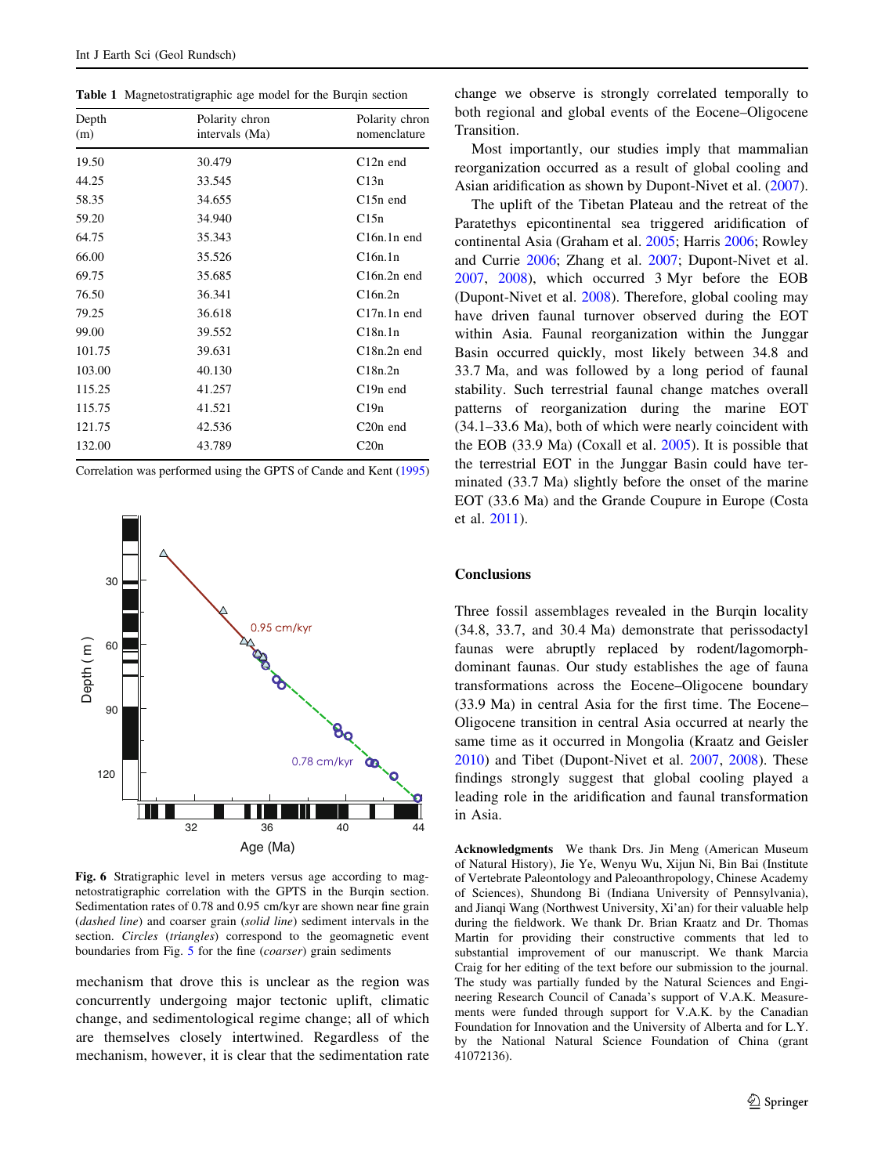<span id="page-6-0"></span>Table 1 Magnetostratigraphic age model for the Burqin section

| Depth<br>(m) | Polarity chron<br>intervals (Ma) | Polarity chron<br>nomenclature |
|--------------|----------------------------------|--------------------------------|
| 19.50        | 30.479                           | $C12n$ end                     |
| 44.25        | 33.545                           | C13n                           |
| 58.35        | 34.655                           | $C15n$ end                     |
| 59.20        | 34.940                           | C15n                           |
| 64.75        | 35.343                           | $C16n.1n$ end                  |
| 66.00        | 35.526                           | C16n.1n                        |
| 69.75        | 35.685                           | $C16n.2n$ end                  |
| 76.50        | 36.341                           | C16n.2n                        |
| 79.25        | 36.618                           | $C17n.1n$ end                  |
| 99.00        | 39.552                           | C18n.1n                        |
| 101.75       | 39.631                           | $C18n.2n$ end                  |
| 103.00       | 40.130                           | C18n.2n                        |
| 115.25       | 41.257                           | $C19n$ end                     |
| 115.75       | 41.521                           | C19n                           |
| 121.75       | 42.536                           | $C20n$ end                     |
| 132.00       | 43.789                           | C20n                           |

Correlation was performed using the GPTS of Cande and Kent [\(1995](#page-7-0))

![](_page_6_Figure_4.jpeg)

Fig. 6 Stratigraphic level in meters versus age according to magnetostratigraphic correlation with the GPTS in the Burqin section. Sedimentation rates of 0.78 and 0.95 cm/kyr are shown near fine grain (dashed line) and coarser grain (solid line) sediment intervals in the section. *Circles* (*triangles*) correspond to the geomagnetic event boundaries from Fig. [5](#page-5-0) for the fine (*coarser*) grain sediments

mechanism that drove this is unclear as the region was concurrently undergoing major tectonic uplift, climatic change, and sedimentological regime change; all of which are themselves closely intertwined. Regardless of the mechanism, however, it is clear that the sedimentation rate change we observe is strongly correlated temporally to both regional and global events of the Eocene–Oligocene Transition.

Most importantly, our studies imply that mammalian reorganization occurred as a result of global cooling and Asian aridification as shown by Dupont-Nivet et al. [\(2007](#page-7-0)).

The uplift of the Tibetan Plateau and the retreat of the Paratethys epicontinental sea triggered aridification of continental Asia (Graham et al. [2005;](#page-7-0) Harris [2006;](#page-7-0) Rowley and Currie [2006](#page-7-0); Zhang et al. [2007](#page-7-0); Dupont-Nivet et al. [2007](#page-7-0), [2008](#page-7-0)), which occurred 3 Myr before the EOB (Dupont-Nivet et al. [2008](#page-7-0)). Therefore, global cooling may have driven faunal turnover observed during the EOT within Asia. Faunal reorganization within the Junggar Basin occurred quickly, most likely between 34.8 and 33.7 Ma, and was followed by a long period of faunal stability. Such terrestrial faunal change matches overall patterns of reorganization during the marine EOT (34.1–33.6 Ma), both of which were nearly coincident with the EOB (33.9 Ma) (Coxall et al. [2005](#page-7-0)). It is possible that the terrestrial EOT in the Junggar Basin could have terminated (33.7 Ma) slightly before the onset of the marine EOT (33.6 Ma) and the Grande Coupure in Europe (Costa et al. [2011\)](#page-7-0).

# Conclusions

Three fossil assemblages revealed in the Burqin locality (34.8, 33.7, and 30.4 Ma) demonstrate that perissodactyl faunas were abruptly replaced by rodent/lagomorphdominant faunas. Our study establishes the age of fauna transformations across the Eocene–Oligocene boundary (33.9 Ma) in central Asia for the first time. The Eocene– Oligocene transition in central Asia occurred at nearly the same time as it occurred in Mongolia (Kraatz and Geisler [2010](#page-7-0)) and Tibet (Dupont-Nivet et al. [2007](#page-7-0), [2008\)](#page-7-0). These findings strongly suggest that global cooling played a leading role in the aridification and faunal transformation in Asia.

Acknowledgments We thank Drs. Jin Meng (American Museum of Natural History), Jie Ye, Wenyu Wu, Xijun Ni, Bin Bai (Institute of Vertebrate Paleontology and Paleoanthropology, Chinese Academy of Sciences), Shundong Bi (Indiana University of Pennsylvania), and Jianqi Wang (Northwest University, Xi'an) for their valuable help during the fieldwork. We thank Dr. Brian Kraatz and Dr. Thomas Martin for providing their constructive comments that led to substantial improvement of our manuscript. We thank Marcia Craig for her editing of the text before our submission to the journal. The study was partially funded by the Natural Sciences and Engineering Research Council of Canada's support of V.A.K. Measurements were funded through support for V.A.K. by the Canadian Foundation for Innovation and the University of Alberta and for L.Y. by the National Natural Science Foundation of China (grant 41072136).